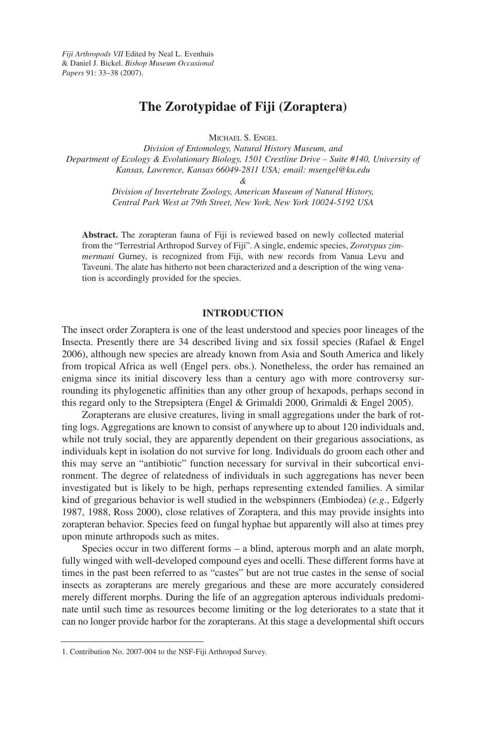# **The Zorotypidae of Fiji (Zoraptera)**

MICHAEL S. ENGEL

*Division of Entomology, Natural History Museum, and Department of Ecology & Evolutionary Biology, 1501 Crestline Drive – Suite #140, University of Kansas, Lawrence, Kansas 66049-2811 USA; email: msengel@ku.edu*

*&*

*Division of Invertebrate Zoology, American Museum of Natural History, Central Park West at 79th Street, New York, New York 10024-5192 USA*

**Abstract.** The zorapteran fauna of Fiji is reviewed based on newly collected material from the "Terrestrial Arthropod Survey of Fiji". A single, endemic species, *Zorotypus zimmermani* Gurney, is recognized from Fiji, with new records from Vanua Levu and Taveuni. The alate has hitherto not been characterized and a description of the wing venation is accordingly provided for the species.

## **INTRODUCTION**

The insect order Zoraptera is one of the least understood and species poor lineages of the Insecta. Presently there are 34 described living and six fossil species (Rafael & Engel 2006), although new species are already known from Asia and South America and likely from tropical Africa as well (Engel pers. obs.). Nonetheless, the order has remained an enigma since its initial discovery less than a century ago with more controversy surrounding its phylogenetic affinities than any other group of hexapods, perhaps second in this regard only to the Strepsiptera (Engel & Grimaldi 2000, Grimaldi & Engel 2005).

Zorapterans are elusive creatures, living in small aggregations under the bark of rotting logs. Aggregations are known to consist of anywhere up to about 120 individuals and, while not truly social, they are apparently dependent on their gregarious associations, as individuals kept in isolation do not survive for long. Individuals do groom each other and this may serve an "antibiotic" function necessary for survival in their subcortical environment. The degree of relatedness of individuals in such aggregations has never been investigated but is likely to be high, perhaps representing extended families. A similar kind of gregarious behavior is well studied in the webspinners (Embiodea) (*e.g*., Edgerly 1987, 1988, Ross 2000), close relatives of Zoraptera, and this may provide insights into zorapteran behavior. Species feed on fungal hyphae but apparently will also at times prey upon minute arthropods such as mites.

Species occur in two different forms – a blind, apterous morph and an alate morph, fully winged with well-developed compound eyes and ocelli. These different forms have at times in the past been referred to as "castes" but are not true castes in the sense of social insects as zorapterans are merely gregarious and these are more accurately considered merely different morphs. During the life of an aggregation apterous individuals predominate until such time as resources become limiting or the log deteriorates to a state that it can no longer provide harbor for the zorapterans. At this stage a developmental shift occurs

<sup>1.</sup> Contribution No. 2007-004 to the NSF-Fiji Arthropod Survey.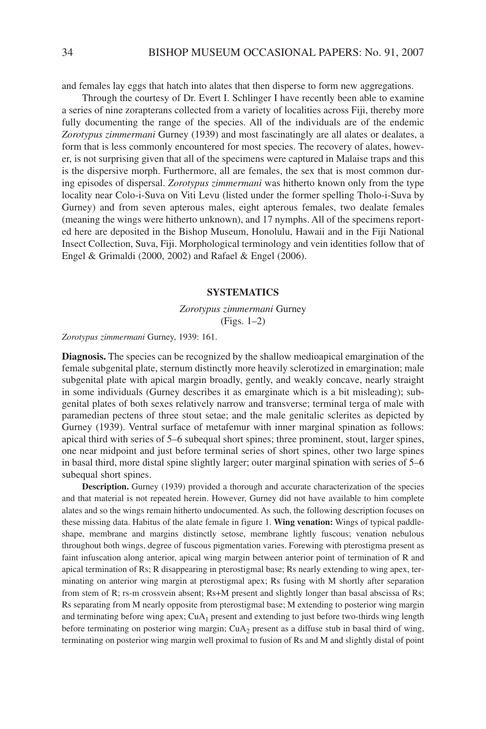and females lay eggs that hatch into alates that then disperse to form new aggregations.

Through the courtesy of Dr. Evert I. Schlinger I have recently been able to examine a series of nine zorapterans collected from a variety of localities across Fiji, thereby more fully documenting the range of the species. All of the individuals are of the endemic *Zorotypus zimmermani* Gurney (1939) and most fascinatingly are all alates or dealates, a form that is less commonly encountered for most species. The recovery of alates, however, is not surprising given that all of the specimens were captured in Malaise traps and this is the dispersive morph. Furthermore, all are females, the sex that is most common during episodes of dispersal. *Zorotypus zimmermani* was hitherto known only from the type locality near Colo-i-Suva on Viti Levu (listed under the former spelling Tholo-i-Suva by Gurney) and from seven apterous males, eight apterous females, two dealate females (meaning the wings were hitherto unknown), and 17 nymphs. All of the specimens reported here are deposited in the Bishop Museum, Honolulu, Hawaii and in the Fiji National Insect Collection, Suva, Fiji. Morphological terminology and vein identities follow that of Engel & Grimaldi (2000, 2002) and Rafael & Engel (2006).

### **SYSTEMATICS**

*Zorotypus zimmermani* Gurney (Figs. 1–2)

*Zorotypus zimmermani* Gurney, 1939: 161.

**Diagnosis.** The species can be recognized by the shallow medioapical emargination of the female subgenital plate, sternum distinctly more heavily sclerotized in emargination; male subgenital plate with apical margin broadly, gently, and weakly concave, nearly straight in some individuals (Gurney describes it as emarginate which is a bit misleading); subgenital plates of both sexes relatively narrow and transverse; terminal terga of male with paramedian pectens of three stout setae; and the male genitalic sclerites as depicted by Gurney (1939). Ventral surface of metafemur with inner marginal spination as follows: apical third with series of 5–6 subequal short spines; three prominent, stout, larger spines, one near midpoint and just before terminal series of short spines, other two large spines in basal third, more distal spine slightly larger; outer marginal spination with series of 5–6 subequal short spines.

**Description.** Gurney (1939) provided a thorough and accurate characterization of the species and that material is not repeated herein. However, Gurney did not have available to him complete alates and so the wings remain hitherto undocumented. As such, the following description focuses on these missing data. Habitus of the alate female in figure 1. **Wing venation:** Wings of typical paddleshape, membrane and margins distinctly setose, membrane lightly fuscous; venation nebulous throughout both wings, degree of fuscous pigmentation varies. Forewing with pterostigma present as faint infuscation along anterior, apical wing margin between anterior point of termination of R and apical termination of Rs; R disappearing in pterostigmal base; Rs nearly extending to wing apex, terminating on anterior wing margin at pterostigmal apex; Rs fusing with M shortly after separation from stem of R; rs-m crossvein absent; Rs+M present and slightly longer than basal abscissa of Rs; Rs separating from M nearly opposite from pterostigmal base; M extending to posterior wing margin and terminating before wing apex;  $CuA<sub>1</sub>$  present and extending to just before two-thirds wing length before terminating on posterior wing margin;  $CuA<sub>2</sub>$  present as a diffuse stub in basal third of wing, terminating on posterior wing margin well proximal to fusion of Rs and M and slightly distal of point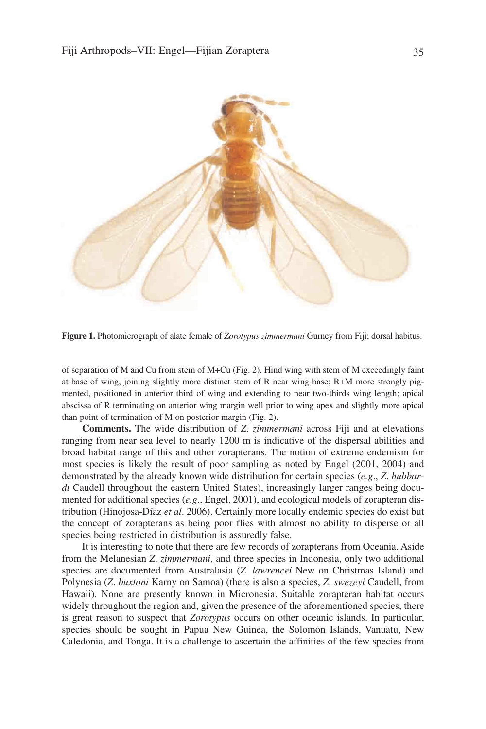

**Figure 1.** Photomicrograph of alate female of *Zorotypus zimmermani* Gurney from Fiji; dorsal habitus.

of separation of M and Cu from stem of M+Cu (Fig. 2). Hind wing with stem of M exceedingly faint at base of wing, joining slightly more distinct stem of R near wing base; R+M more strongly pigmented, positioned in anterior third of wing and extending to near two-thirds wing length; apical abscissa of R terminating on anterior wing margin well prior to wing apex and slightly more apical than point of termination of M on posterior margin (Fig. 2).

**Comments.** The wide distribution of *Z*. *zimmermani* across Fiji and at elevations ranging from near sea level to nearly 1200 m is indicative of the dispersal abilities and broad habitat range of this and other zorapterans. The notion of extreme endemism for most species is likely the result of poor sampling as noted by Engel (2001, 2004) and demonstrated by the already known wide distribution for certain species (*e.g*., *Z*. *hubbardi* Caudell throughout the eastern United States), increasingly larger ranges being documented for additional species (*e.g*., Engel, 2001), and ecological models of zorapteran distribution (Hinojosa-Díaz *et al*. 2006). Certainly more locally endemic species do exist but the concept of zorapterans as being poor flies with almost no ability to disperse or all species being restricted in distribution is assuredly false.

It is interesting to note that there are few records of zorapterans from Oceania. Aside from the Melanesian *Z*. *zimmermani*, and three species in Indonesia, only two additional species are documented from Australasia (*Z*. *lawrencei* New on Christmas Island) and Polynesia (*Z*. *buxtoni* Karny on Samoa) (there is also a species, *Z*. *swezeyi* Caudell, from Hawaii). None are presently known in Micronesia. Suitable zorapteran habitat occurs widely throughout the region and, given the presence of the aforementioned species, there is great reason to suspect that *Zorotypus* occurs on other oceanic islands. In particular, species should be sought in Papua New Guinea, the Solomon Islands, Vanuatu, New Caledonia, and Tonga. It is a challenge to ascertain the affinities of the few species from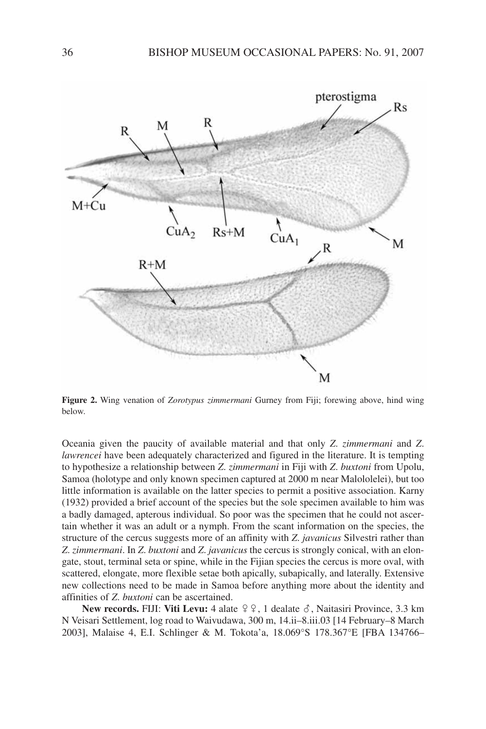

**Figure 2.** Wing venation of *Zorotypus zimmermani* Gurney from Fiji; forewing above, hind wing below.

Oceania given the paucity of available material and that only *Z*. *zimmermani* and *Z*. *lawrencei* have been adequately characterized and figured in the literature. It is tempting to hypothesize a relationship between *Z*. *zimmermani* in Fiji with *Z*. *buxtoni* from Upolu, Samoa (holotype and only known specimen captured at 2000 m near Malololelei), but too little information is available on the latter species to permit a positive association. Karny (1932) provided a brief account of the species but the sole specimen available to him was a badly damaged, apterous individual. So poor was the specimen that he could not ascertain whether it was an adult or a nymph. From the scant information on the species, the structure of the cercus suggests more of an affinity with *Z*. *javanicus* Silvestri rather than *Z*. *zimmermani*. In *Z*. *buxtoni* and *Z*. *javanicus* the cercus is strongly conical, with an elongate, stout, terminal seta or spine, while in the Fijian species the cercus is more oval, with scattered, elongate, more flexible setae both apically, subapically, and laterally. Extensive new collections need to be made in Samoa before anything more about the identity and affinities of *Z*. *buxtoni* can be ascertained.

**New records.** FIJI: Viti Levu: 4 alate  $99, 1$  dealate  $\delta$ , Naitasiri Province, 3.3 km N Veisari Settlement, log road to Waivudawa, 300 m, 14.ii–8.iii.03 [14 February–8 March 2003], Malaise 4, E.I. Schlinger & M. Tokota'a, 18.069°S 178.367°E [FBA 134766–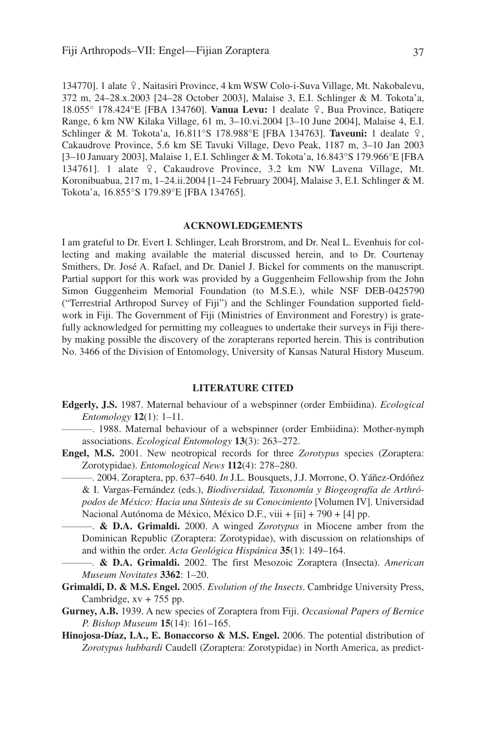134770]. 1 alate  $9$ , Naitasiri Province, 4 km WSW Colo-i-Suva Village, Mt. Nakobalevu, 372 m, 24–28.x.2003 [24–28 October 2003], Malaise 3, E.I. Schlinger & M. Tokota'a, 18.055° 178.424°E [FBA 134760]. **Vanua Levu:** 1 dealate /, Bua Province, Batiqere Range, 6 km NW Kilaka Village, 61 m, 3–10.vi.2004 [3–10 June 2004], Malaise 4, E.I. Schlinger & M. Tokota'a, 16.811°S 178.988°E [FBA 134763]. **Taveuni:** 1 dealate /, Cakaudrove Province, 5.6 km SE Tavuki Village, Devo Peak, 1187 m, 3–10 Jan 2003 [3–10 January 2003], Malaise 1, E.I. Schlinger & M. Tokota'a, 16.843°S 179.966°E [FBA 134761]. 1 alate  $\varphi$ , Cakaudrove Province, 3.2 km NW Lavena Village, Mt. Koronibuabua, 217 m, 1–24.ii.2004 [1–24 February 2004], Malaise 3, E.I. Schlinger & M. Tokota'a, 16.855°S 179.89°E [FBA 134765].

### **ACKNOWLEDGEMENTS**

I am grateful to Dr. Evert I. Schlinger, Leah Brorstrom, and Dr. Neal L. Evenhuis for collecting and making available the material discussed herein, and to Dr. Courtenay Smithers, Dr. José A. Rafael, and Dr. Daniel J. Bickel for comments on the manuscript. Partial support for this work was provided by a Guggenheim Fellowship from the John Simon Guggenheim Memorial Foundation (to M.S.E.), while NSF DEB-0425790 ("Terrestrial Arthropod Survey of Fiji") and the Schlinger Foundation supported fieldwork in Fiji. The Government of Fiji (Ministries of Environment and Forestry) is gratefully acknowledged for permitting my colleagues to undertake their surveys in Fiji thereby making possible the discovery of the zorapterans reported herein. This is contribution No. 3466 of the Division of Entomology, University of Kansas Natural History Museum.

### **LITERATURE CITED**

- **Edgerly, J.S.** 1987. Maternal behaviour of a webspinner (order Embiidina). *Ecological Entomology* **12**(1): 1–11.
	- ———. 1988. Maternal behaviour of a webspinner (order Embiidina): Mother-nymph associations. *Ecological Entomology* **13**(3): 263–272.
- **Engel, M.S.** 2001. New neotropical records for three *Zorotypus* species (Zoraptera: Zorotypidae). *Entomological News* **112**(4): 278–280.
	- ———. 2004. Zoraptera, pp. 637–640. *In* J.L. Bousquets, J.J. Morrone, O. Yáñez-Ordóñez & I. Vargas-Fernández (eds.), *Biodiversidad, Taxonomía y Biogeografía de Arthrópodos de México: Hacia una Síntesis de su Conocimiento* [Volumen IV]. Universidad Nacional Autónoma de México, México D.F., viii + [ii] + 790 + [4] pp.

———. **& D.A. Grimaldi.** 2000. A winged *Zorotypus* in Miocene amber from the Dominican Republic (Zoraptera: Zorotypidae), with discussion on relationships of and within the order. *Acta Geológica Hispánica* **35**(1): 149–164.

———. **& D.A. Grimaldi.** 2002. The first Mesozoic Zoraptera (Insecta). *American Museum Novitates* **3362**: 1–20.

- **Grimaldi, D. & M.S. Engel.** 2005. *Evolution of the Insects*. Cambridge University Press, Cambridge, xv + 755 pp.
- **Gurney, A.B.** 1939. A new species of Zoraptera from Fiji. *Occasional Papers of Bernice P. Bishop Museum* **15**(14): 161–165.
- **Hinojosa-Díaz, I.A., E. Bonaccorso & M.S. Engel.** 2006. The potential distribution of *Zorotypus hubbardi* Caudell (Zoraptera: Zorotypidae) in North America, as predict-